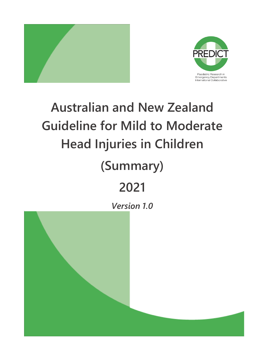



# **Australian and New Zealand Guideline for Mild to Moderate Head Injuries in Children (Summary) 2021**

*Version 1.0*

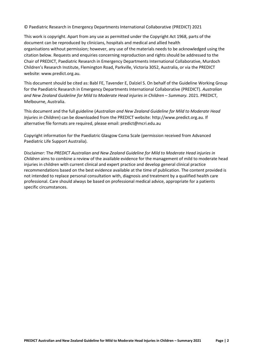© Paediatric Research in Emergency Departments International Collaborative (PREDICT) 2021

This work is copyright. Apart from any use as permitted under the Copyright Act 1968, parts of the document can be reproduced by clinicians, hospitals and medical and allied health organisations without permission; however, any use of the materials needs to be acknowledged using the citation below. Requests and enquiries concerning reproduction and rights should be addressed to the Chair of PREDICT, Paediatric Research in Emergency Departments International Collaborative, Murdoch Children's Research Institute, Flemington Road, Parkville, Victoria 3052, Australia, or via the PREDICT website: www.predict.org.au.

This document should be cited as: Babl FE, Tavender E, Dalziel S. On behalf of the Guideline Working Group for the Paediatric Research in Emergency Departments International Collaborative (PREDICT). *Australian and New Zealand Guideline for Mild to Moderate Head injuries in Children – Summary.* 2021. PREDICT, Melbourne, Australia.

This document and the full guideline (*Australian and New Zealand Guideline for Mild to Moderate Head Injuries in Children*) can be downloaded from the PREDICT website: http://www.predict.org.au. If alternative file formats are required, please email: predict@mcri.edu.au

Copyright information for the Paediatric Glasgow Coma Scale (permission received from Advanced Paediatric Life Support Australia).

Disclaimer: The *PREDICT Australian and New Zealand Guideline for Mild to Moderate Head injuries in Children* aims to combine a review of the available evidence for the management of mild to moderate head injuries in children with current clinical and expert practice and develop general clinical practice recommendations based on the best evidence available at the time of publication. The content provided is not intended to replace personal consultation with, diagnosis and treatment by a qualified health care professional. Care should always be based on professional medical advice, appropriate for a patients specific circumstances.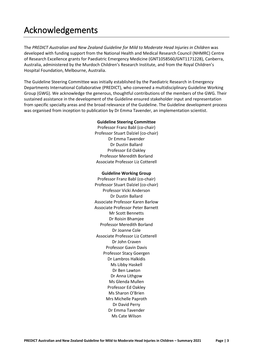# Acknowledgements

The *PREDICT Australian and New Zealand Guideline for Mild to Moderate Head Injuries in Children* was developed with funding support from the National Health and Medical Research Council (NHMRC) Centre of Research Excellence grants for Paediatric Emergency Medicine (GNT1058560/GNT1171228), Canberra, Australia, administered by the Murdoch Children's Research Institute, and from the Royal Children's Hospital Foundation, Melbourne, Australia.

The Guideline Steering Committee was initially established by the Paediatric Research in Emergency Departments International Collaborative (PREDICT), who convened a multidisciplinary Guideline Working Group (GWG). We acknowledge the generous, thoughtful contributions of the members of the GWG. Their sustained assistance in the development of the Guideline ensured stakeholder input and representation from specific specialty areas and the broad relevance of the Guideline. The Guideline development process was organised from inception to publication by Dr Emma Tavender, an implementation scientist.

## **Guideline Steering Committee**

Professor Franz Babl (co-chair) Professor Stuart Dalziel (co-chair) Dr Emma Tavender Dr Dustin Ballard Professor Ed Oakley Professor Meredith Borland Associate Professor Liz Cotterell

#### **Guideline Working Group**

Professor Franz Babl (co-chair) Professor Stuart Dalziel (co-chair) Professor Vicki Anderson Dr Dustin Ballard Associate Professor Karen Barlow Associate Professor Peter Barnett Mr Scott Bennetts Dr Roisin Bhamjee Professor Meredith Borland Dr Joanne Cole Associate Professor Liz Cotterell Dr John Craven Professor Gavin Davis Professor Stacy Goergen Dr Lambros Halkidis Ms Libby Haskell Dr Ben Lawton Dr Anna Lithgow Ms Glenda Mullen Professor Ed Oakley Ms Sharon O'Brien Mrs Michelle Paproth Dr David Perry Dr Emma Tavender Ms Cate Wilson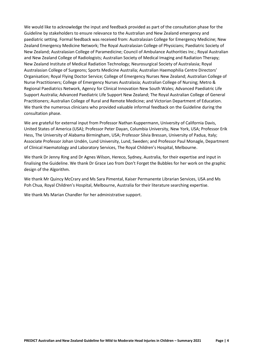We would like to acknowledge the input and feedback provided as part of the consultation phase for the Guideline by stakeholders to ensure relevance to the Australian and New Zealand emergency and paediatric setting. Formal feedback was received from: Australasian College for Emergency Medicine; New Zealand Emergency Medicine Network; The Royal Australasian College of Physicians; Paediatric Society of New Zealand; Australasian College of Paramedicine; Council of Ambulance Authorities Inc.; Royal Australian and New Zealand College of Radiologists; Australian Society of Medical Imaging and Radiation Therapy; New Zealand Institute of Medical Radiation Technology; Neurosurgical Society of Australasia; Royal Australasian College of Surgeons; Sports Medicine Australia; Australian Haemophilia Centre Directors' Organisation; Royal Flying Doctor Service; College of Emergency Nurses New Zealand; Australian College of Nurse Practitioners; College of Emergency Nurses Australasia; Australian College of Nursing; Metro & Regional Paediatrics Network, Agency for Clinical Innovation New South Wales; Advanced Paediatric Life Support Australia; Advanced Paediatric Life Support New Zealand; The Royal Australian College of General Practitioners; Australian College of Rural and Remote Medicine; and Victorian Department of Education. We thank the numerous clinicians who provided valuable informal feedback on the Guideline during the consultation phase.

We are grateful for external input from Professor Nathan Kuppermann, University of California Davis, United States of America (USA); Professor Peter Dayan, Columbia University, New York, USA; Professor Erik Hess, The University of Alabama Birmingham, USA; Professor Silvia Bressan, University of Padua, Italy; Associate Professor Johan Undén, Lund University, Lund, Sweden; and Professor Paul Monagle, Department of Clinical Haematology and Laboratory Services, The Royal Children's Hospital, Melbourne.

We thank Dr Jenny Ring and Dr Agnes Wilson, Hereco, Sydney, Australia, for their expertise and input in finalising the Guideline. We thank Dr Grace Leo from Don't Forget the Bubbles for her work on the graphic design of the Algorithm.

We thank Mr Quincy McCrary and Ms Sara Pimental, Kaiser Permanente Librarian Services, USA and Ms Poh Chua, Royal Children's Hospital, Melbourne, Australia for their literature searching expertise.

We thank Ms Marian Chandler for her administrative support.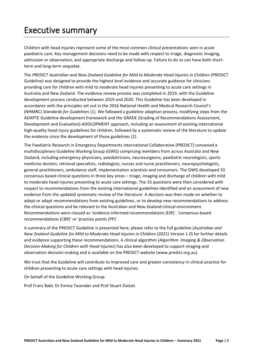# Executive summary

Children with head injuries represent some of the most common clinical presentations seen in acute paediatric care. Key management decisions need to be made with respect to triage, diagnostic imaging, admission or observation, and appropriate discharge and follow-up. Failure to do so can have both shortterm and long-term sequelae.

The *PREDICT Australian and New Zealand Guideline for Mild to Moderate Head Injuries in Children* (PREDICT Guideline) was designed to provide the highest level evidence and accurate guidance for clinicians providing care for children with mild to moderate head injuries presenting to acute care settings in Australia and New Zealand. The evidence review process was completed in 2019, with the Guideline development process conducted between 2019 and 2020. This Guideline has been developed in accordance with the principles set out in the 2016 National Health and Medical Research Council's (NHMRC) *Standards for Guidelines* (1). We followed a guideline adaption process, modifying steps from the ADAPTE Guideline development framework and the GRADE (Grading of Recommendations Assessment, Development and Evaluation)-ADOLOPMENT approach, including an assessment of existing international high-quality head injury guidelines for children, followed by a systematic review of the literature to update the evidence since the development of those guidelines (2).

The Paediatric Research in Emergency Departments International Collaborative (PREDICT) convened a multidisciplinary Guideline Working Group (GWG) comprising members from across Australia and New Zealand, including emergency physicians, paediatricians, neurosurgeons, paediatric neurologists, sports medicine doctors, retrieval specialists, radiologists, nurses and nurse practitioners, neuropsychologists, general practitioners, ambulance staff, implementation scientists and consumers. The GWG developed 33 consensus-based clinical questions in three key areas – triage, imaging and discharge of children with mild to moderate head injuries presenting to acute care settings. The 33 questions were then considered with respect to recommendations from the existing international guidelines identified and an assessment of new evidence from the updated systematic review of the literature. A decision was then made on whether to adopt or adapt recommendations from existing guidelines, or to develop new recommendations to address the clinical questions and be relevant to the Australian and New Zealand clinical environment. Recommendations were classed as 'evidence-informed recommendations (EIR)', 'consensus-based recommendations (CBR)' or 'practice points (PP)'.

A summary of the PREDICT Guideline is presented here; please refer to the full guideline (*Australian and New Zealand Guideline for Mild to Moderate Head Injuries in Children (2021) Version 1.0*) for further details and evidence supporting these recommendations. A clinical algorithm (*Algorithm*: *Imaging & Observation Decision-Making for Children with Head Injuries*) has also been developed to support imaging and observation decision-making and is available on the PREDICT website (www.predict.org.au).

We trust that the Guideline will contribute to improved care and greater consistency in clinical practice for children presenting to acute care settings with head injuries.

On behalf of the Guideline Working Group.

Prof Franz Babl, Dr Emma Tavender and Prof Stuart Dalziel.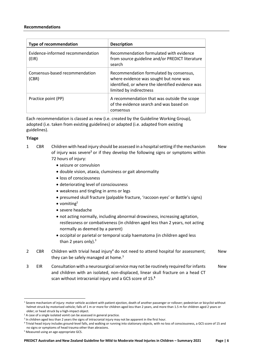| <b>Type of recommendation</b>             | <b>Description</b>                                                                                                                                               |
|-------------------------------------------|------------------------------------------------------------------------------------------------------------------------------------------------------------------|
| Evidence-informed recommendation<br>(EIR) | Recommendation formulated with evidence<br>from source guideline and/or PREDICT literature<br>search                                                             |
| Consensus-based recommendation<br>(CBR)   | Recommendation formulated by consensus,<br>where evidence was sought but none was<br>identified, or where the identified evidence was<br>limited by indirectness |
| Practice point (PP)                       | A recommendation that was outside the scope<br>of the evidence search and was based on<br>consensus                                                              |

Each recommendation is classed as new (i.e. created by the Guideline Working Group), adopted (i.e. taken from existing guidelines) or adapted (i.e. adapted from existing guidelines).

# **Triage**

1 CBR Children with head injury should be assessed in a hospital setting if the mechanism of injury was severe**<sup>1</sup>** or if they develop the following signs or symptoms within 72 hours of injury: New

- seizure or convulsion
- double vision, ataxia, clumsiness or gait abnormality
- loss of consciousness
- deteriorating level of consciousness
- weakness and tingling in arms or legs
- presumed skull fracture (palpable fracture, 'raccoon eyes' or Battle's signs)
- $\bullet$  vomiting<sup>2</sup>
- severe headache
- not acting normally, including abnormal drowsiness, increasing agitation, restlessness or combativeness (in children aged less than 2 years, not acting normally as deemed by a parent)
- occipital or parietal or temporal scalp haematoma (in children aged less than 2 years only).<sup>3</sup>
- 2 CBR Children with trivial head injury<sup>4</sup> do not need to attend hospital for assessment; they can be safely managed at home.<sup>3</sup> New
- 3 EIR Consultation with a neurosurgical service may not be routinely required for infants and children with an isolated, non-displaced, linear skull fracture on a head CT scan without intracranial injury and a GCS score of 15.**<sup>5</sup>** New

<sup>&</sup>lt;sup>1</sup> Severe mechanism of injury: motor vehicle accident with patient ejection, death of another passenger or rollover; pedestrian or bicyclist without helmet struck by motorised vehicle; falls of 1 m or more for children aged less than 2 years, and more than 1.5 m for children aged 2 years or older; or head struck by a high-impact object.

 $2$  A case of a single isolated vomit can be assessed in general practice.

<sup>&</sup>lt;sup>3</sup> In children aged less than 2 years the signs of intracranial injury may not be apparent in the first hour.

<sup>4</sup> Trivial head injury includes ground-level falls, and walking or running into stationary objects, with no loss of consciousness, a GCS score of 15 and no signs or symptoms of head trauma other than abrasions.

<sup>5</sup> Measured using an age-appropriate GCS.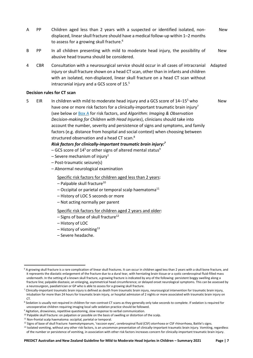- A PP Children aged less than 2 years with a suspected or identified isolated, nondisplaced, linear skull fracture should have a medical follow-up within 1–2 months to assess for a growing skull fracture.<sup>6</sup> New
- B PP In all children presenting with mild to moderate head injury, the possibility of abusive head trauma should be considered. New
- 4 CBR Consultation with a neurosurgical service should occur in all cases of intracranial Adapted injury or skull fracture shown on a head CT scan, other than in infants and children with an isolated, non-displaced, linear skull fracture on a head CT scan without intracranial injury and a GCS score of  $15.^5$

# **Decision rules for CT scan**

<span id="page-6-0"></span>5  $\;\;$  EIR In children with mild to moderate head injury and a GCS score of 14–15<sup>5</sup> who have one or more risk factors for a clinically-important traumatic brain injury<sup>7</sup> (see below or [Box A](#page-15-0) for risk factors, and *Algorithm: Imaging & Observation Decision-making for Children with Head Injuries*), clinicians should take into account the number, severity and persistence of signs and symptoms, and family factors (e.g. distance from hospital and social context) when choosing between structured observation and a head CT scan.<sup>8</sup> New

*Risk factors for clinically-important traumatic brain injury: 7*

- GCS score of  $14<sup>5</sup>$  or other signs of altered mental status<sup>9</sup>
- Severe mechanism of injury<sup>1</sup>
- Post-traumatic seizure(s)
- Abnormal neurological examination

Specific risk factors for children aged less than 2 years:

- $-$  Palpable skull fracture<sup>10</sup>
- $-$  Occipital or parietal or temporal scalp haematoma<sup>11</sup>
- History of LOC 5 seconds or more
- Not acting normally per parent

Specific risk factors for children aged 2 years and older:

- $-$  Signs of base of skull fracture<sup>12</sup>
- History of LOC
- $-$  History of vomiting<sup>13</sup>
- Severe headache.

<sup>&</sup>lt;sup>6</sup> A growing skull fracture is a rare complication of linear skull fractures. It can occur in children aged less than 2 years with a skull bone fracture, and it represents the diastatic enlargement of the fracture due to a dural tear, with herniating brain tissue or a cystic cerebrospinal fluid-filled mass underneath. In the setting of a known skull fracture, a growing fracture is indicated by any of the following: persistent boggy swelling along a fracture line; palpable diastasis; an enlarging, asymmetrical head circumference; or delayed onset neurological symptoms. This can be assessed by a neurosurgeon, paediatrician or GP who is able to assess for a growing skull fracture.

<sup>&</sup>lt;sup>7</sup> Clinically-important traumatic brain injury is defined as death from traumatic brain injury, neurosurgical intervention for traumatic brain injury, intubation for more than 24 hours for traumatic brain injury, or hospital admission of 2 nights or more associated with traumatic brain injury on CT.

<sup>&</sup>lt;sup>8</sup> Sedation is usually not required in children for non-contrast CT scans as they generally only take seconds to complete. If sedation is required for uncooperative children requiring imaging local safe sedation practice should be followed.

<sup>&</sup>lt;sup>9</sup> Agitation, drowsiness, repetitive questioning, slow response to verbal communication.

 $10$  Palpable skull fracture: on palpation or possible on the basis of swelling or distortion of the scalp.

<sup>&</sup>lt;sup>11</sup> Non-frontal scalp haematoma: occipital, parietal or temporal.

<sup>&</sup>lt;sup>12</sup> Signs of base of skull fracture: haemotympanum, 'raccoon eyes', cerebrospinal fluid (CSF) otorrhoea or CSF rhinorrhoea, Battle's signs.

<sup>&</sup>lt;sup>13</sup> Isolated vomiting, without any other risk factors, is an uncommon presentation of clinically-important traumatic brain injury. Vomiting, regardless of the number or persistence of vomiting, in association with other risk factors increases concern for clinically-important traumatic brain injury.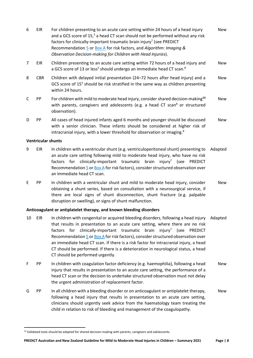| 6              | <b>EIR</b>                | For children presenting to an acute care setting within 24 hours of a head injury<br>and a GCS score of 15, <sup>5</sup> a head CT scan should not be performed without any risk<br>factors for clinically-important traumatic brain injury <sup>7</sup> (see PREDICT<br>Recommendation 5 or Box A for risk factors, and Algorithm: Imaging &<br>Observation Decision-making for Children with Head Injuries).                                                                                                                                                                   | New        |
|----------------|---------------------------|----------------------------------------------------------------------------------------------------------------------------------------------------------------------------------------------------------------------------------------------------------------------------------------------------------------------------------------------------------------------------------------------------------------------------------------------------------------------------------------------------------------------------------------------------------------------------------|------------|
| $\overline{7}$ | EIR                       | Children presenting to an acute care setting within 72 hours of a head injury and<br>a GCS score of 13 or less <sup>5</sup> should undergo an immediate head CT scan. <sup>8</sup>                                                                                                                                                                                                                                                                                                                                                                                               | <b>New</b> |
| 8              | <b>CBR</b>                | Children with delayed initial presentation (24-72 hours after head injury) and a<br>GCS score of 15 <sup>5</sup> should be risk stratified in the same way as children presenting<br>within 24 hours.                                                                                                                                                                                                                                                                                                                                                                            |            |
| C              | PP                        | For children with mild to moderate head injury, consider shared decision-making <sup>14</sup><br>New<br>with parents, caregivers and adolescents (e.g. a head CT scan <sup>8</sup> or structured<br>observation).                                                                                                                                                                                                                                                                                                                                                                |            |
| D              | PP                        | All cases of head injured infants aged 6 months and younger should be discussed<br>with a senior clinician. These infants should be considered at higher risk of<br>intracranial injury, with a lower threshold for observation or imaging. <sup>8</sup>                                                                                                                                                                                                                                                                                                                         | <b>New</b> |
|                | <b>Ventricular shunts</b> |                                                                                                                                                                                                                                                                                                                                                                                                                                                                                                                                                                                  |            |
| 9              | EIR                       | In children with a ventricular shunt (e.g. ventriculoperitoneal shunt) presenting to<br>an acute care setting following mild to moderate head injury, who have no risk<br>factors for clinically-important traumatic brain injury <sup>7</sup> (see PREDICT<br>Recommendation 5 or Box A for risk factors), consider structured observation over<br>an immediate head CT scan.                                                                                                                                                                                                   | Adapted    |
| E              | PP                        | In children with a ventricular shunt and mild to moderate head injury, consider<br>obtaining a shunt series, based on consultation with a neurosurgical service, if<br>there are local signs of shunt disconnection, shunt fracture (e.g. palpable<br>disruption or swelling), or signs of shunt malfunction.                                                                                                                                                                                                                                                                    | New        |
|                |                           | Anticoagulant or antiplatelet therapy, and known bleeding disorders                                                                                                                                                                                                                                                                                                                                                                                                                                                                                                              |            |
|                |                           | 10 EIR In children with congenital or acquired bleeding disorders, following a head injury Adapted<br>that results in presentation to an acute care setting, where there are no risk<br>factors for clinically-important traumatic brain injury <sup>7</sup> (see PREDICT<br>Recommendation 5 or Box A for risk factors), consider structured observation over<br>an immediate head CT scan. If there is a risk factor for intracranial injury, a head<br>CT should be performed. If there is a deterioration in neurological status, a head<br>CT should be performed urgently. |            |
| F              | PP                        | In children with coagulation factor deficiency (e.g. haemophilia), following a head<br>injury that results in presentation to an acute care setting, the performance of a<br>head CT scan or the decision to undertake structured observation must not delay<br>the urgent administration of replacement factor.                                                                                                                                                                                                                                                                 | <b>New</b> |
| G              | PP                        | In all children with a bleeding disorder or on anticoagulant or antiplatelet therapy,<br>following a head injury that results in presentation to an acute care setting,<br>clinicians should urgently seek advice from the haematology team treating the                                                                                                                                                                                                                                                                                                                         | <b>New</b> |

child in relation to risk of bleeding and management of the coagulopathy.

<sup>&</sup>lt;sup>14</sup> Validated tools should be adapted for shared decision-making with parents, caregivers and adolescents.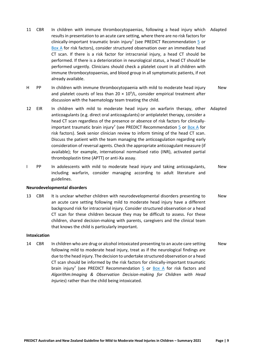- 11 CBR In children with immune thrombocytopaenias, following a head injury which Adapted results in presentation to an acute care setting, where there are no risk factors for clinically-important traumatic brain injury<sup>7</sup> (see PREDICT Recommendation [5](#page-6-0) or [Box A](#page-15-0) for risk factors), consider structured observation over an immediate head CT scan. If there is a risk factor for intracranial injury, a head CT should be performed. If there is a deterioration in neurological status, a head CT should be performed urgently. Clinicians should check a platelet count in all children with immune thrombocytopaenias, and blood group in all symptomatic patients, if not already available.
- H PP In children with immune thrombocytopaenia with mild to moderate head injury and platelet counts of less than  $20 \times 10^9$ /L, consider empirical treatment after discussion with the haematology team treating the child. New
- 12 EIR In children with mild to moderate head injury on warfarin therapy, other anticoagulants (e.g. direct oral anticoagulants) or antiplatelet therapy, consider a head CT scan regardless of the presence or absence of risk factors for clinically-important traumatic brain injury<sup>7</sup> (see PREDICT Recommendation [5](#page-6-0) or **Box A** for risk factors). Seek senior clinician review to inform timing of the head CT scan. Discuss the patient with the team managing the anticoagulation regarding early consideration of reversal agents. Check the appropriate anticoagulant measure (if available); for example, international normalised ratio (INR), activated partial thromboplastin time (APTT) or anti-Xa assay. Adapted
- I PP In adolescents with mild to moderate head injury and taking anticoagulants, including warfarin, consider managing according to adult literature and guidelines. New

#### **Neurodevelopmental disorders**

13 CBR It is unclear whether children with neurodevelopmental disorders presenting to an acute care setting following mild to moderate head injury have a different background risk for intracranial injury. Consider structured observation or a head CT scan for these children because they may be difficult to assess. For these children, shared decision-making with parents, caregivers and the clinical team that knows the child is particularly important. New

#### **Intoxication**

14 CBR In children who are drug or alcohol intoxicated presenting to an acute care setting following mild to moderate head injury, treat as if the neurological findings are due to the head injury. The decision to undertake structured observation or a head CT scan should be informed by the risk factors for clinically-important traumatic brain injury<sup>7</sup> (see PREDICT Recommendation [5](#page-6-0) or **Box A** for risk factors and *Algorithm:Imaging & Observation Decision-making for Children with Head Injuries*) rather than the child being intoxicated. New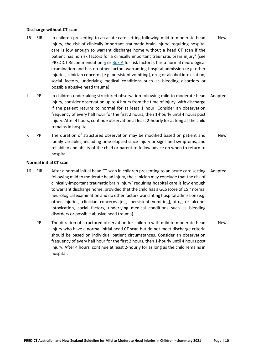#### **Discharge without CT scan**

- 15 EIR In children presenting to an acute care setting following mild to moderate head injury, the risk of clinically-important traumatic brain injury<sup>7</sup> requiring hospital care is low enough to warrant discharge home without a head CT scan if the patient has no risk factors for a clinically important traumatic brain injury<sup>7</sup> (see PREDICT Recommendation [5](#page-6-0) or [Box A](#page-15-0) for risk factors), has a normal neurological examination and has no other factors warranting hospital admission (e.g. other injuries, clinician concerns [e.g. persistent vomiting], drug or alcohol intoxication, social factors, underlying medical conditions such as bleeding disorders or possible abusive head trauma). New
- J PP In children undertaking structured observation following mild to moderate head injury, consider observation up to 4 hours from the time of injury, with discharge if the patient returns to normal for at least 1 hour. Consider an observation frequency of every half hour for the first 2 hours, then 1-hourly until 4 hours post injury. After 4 hours, continue observation at least 2-hourly for as long as the child remains in hospital. Adapted
- K PP The duration of structured observation may be modified based on patient and family variables, including time elapsed since injury or signs and symptoms, and reliability and ability of the child or parent to follow advice on when to return to hospital. New

## **Normal initial CT scan**

- 16 EIR After a normal initial head CT scan in children presenting to an acute care setting following mild to moderate head injury, the clinician may conclude that the risk of clinically-important traumatic brain injury<sup>7</sup> requiring hospital care is low enough to warrant discharge home, provided that the child has a GCS score of 15,<sup>5</sup> normal neurological examination and no other factors warranting hospital admission (e.g. other injuries, clinician concerns [e.g. persistent vomiting], drug or alcohol intoxication, social factors, underlying medical conditions such as bleeding disorders or possible abusive head trauma). Adapted
- L PP The duration of structured observation for children with mild to moderate head injury who have a normal initial head CT scan but do not meet discharge criteria should be based on individual patient circumstances. Consider an observation frequency of every half hour for the first 2 hours, then 1-hourly until 4 hours post injury. After 4 hours, continue at least 2-hourly for as long as the child remains in hospital. New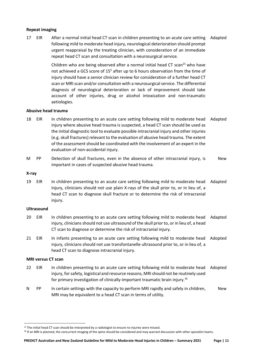# **Repeat imaging**

17 EIR After a normal initial head CT scan in children presenting to an acute care setting following mild to moderate head injury, neurological deterioration should prompt urgent reappraisal by the treating clinician, with consideration of an immediate repeat head CT scan and consultation with a neurosurgical service. Adapted

> Children who are being observed after a normal initial head CT scan $<sup>15</sup>$  who have</sup> not achieved a GCS score of 15<sup>5</sup> after up to 6 hours observation from the time of injury should have a senior clinician review for consideration of a further head CT scan or MRI scan and/or consultation with a neurosurgical service. The differential diagnosis of neurological deterioration or lack of improvement should take account of other injuries, drug or alcohol intoxication and non-traumatic aetiologies.

## **Abusive head trauma**

- 18 EIR In children presenting to an acute care setting following mild to moderate head injury where abusive head trauma is suspected, a head CT scan should be used as the initial diagnostic tool to evaluate possible intracranial injury and other injuries (e.g. skull fractures) relevant to the evaluation of abusive head trauma. The extent of the assessment should be coordinated with the involvement of an expert in the evaluation of non-accidental injury. Adapted
- M PP Detection of skull fractures, even in the absence of other intracranial injury, is important in cases of suspected abusive head trauma. New

#### **X-ray**

19 EIR In children presenting to an acute care setting following mild to moderate head injury, clinicians should not use plain X-rays of the skull prior to, or in lieu of, a head CT scan to diagnose skull fracture or to determine the risk of intracranial injury. Adapted

# **Ultrasound**

- 20 EIR In children presenting to an acute care setting following mild to moderate head injury, clinicians should not use ultrasound of the skull prior to, or in lieu of, a head CT scan to diagnose or determine the risk of intracranial injury. Adapted
- 21 EIR In infants presenting to an acute care setting following mild to moderate head injury, clinicians should not use transfontanelle ultrasound prior to, or in lieu of, a head CT scan to diagnose intracranial injury. Adopted

#### **MRI versus CT scan**

- 22 EIR In children presenting to an acute care setting following mild to moderate head injury, for safety, logistical and resource reasons, MRI should not be routinely used for primary investigation of clinically-important traumatic brain injury. 16 Adopted
- N PP In certain settings with the capacity to perform MRI rapidly and safely in children, MRI may be equivalent to a head CT scan in terms of utility. New

<sup>&</sup>lt;sup>15</sup> The initial head CT scan should be interpreted by a radiologist to ensure no injuries were missed.

<sup>&</sup>lt;sup>16</sup> If an MRI is planned, the concurrent imaging of the spine should be considered and may warrant discussion with other specialist teams.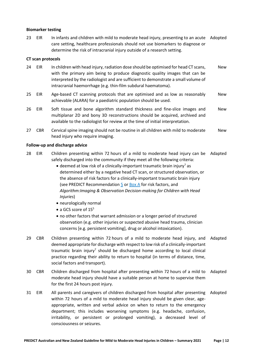## **Biomarker testing**

23 EIR In infants and children with mild to moderate head injury, presenting to an acute Adopted care setting, healthcare professionals should not use biomarkers to diagnose or determine the risk of intracranial injury outside of a research setting.

#### **CT scan protocols**

- 24 EIR In children with head injury, radiation dose should be optimised for head CT scans, with the primary aim being to produce diagnostic quality images that can be interpreted by the radiologist and are sufficient to demonstrate a small volume of intracranial haemorrhage (e.g. thin-film subdural haematoma). New
- 25 EIR Age-based CT scanning protocols that are optimised and as low as reasonably achievable (ALARA) for a paediatric population should be used. New
- 26 EIR Soft tissue and bone algorithm standard thickness and fine-slice images and multiplanar 2D and bony 3D reconstructions should be acquired, archived and available to the radiologist for review at the time of initial interpretation. New
- 27 CBR Cervical spine imaging should not be routine in all children with mild to moderate head injury who require imaging. New

## **Follow-up and discharge advice**

- 28 EIR Children presenting within 72 hours of a mild to moderate head injury can be Adapted safely discharged into the community if they meet all the following criteria:
	- deemed at low risk of a clinically-important traumatic brain injury<sup>7</sup> as determined either by a negative head CT scan, or structured observation, or the absence of risk factors for a clinically-important traumatic brain injury (see PREDICT Recommendation [5](#page-6-0) or [Box A](#page-15-0) for risk factors, and *Algorithm:Imaging & Observation Decision-making for Children with Head Injuries*)
	- neurologically normal
	- a GCS score of  $15^5$
	- no other factors that warrant admission or a longer period of structured observation (e.g. other injuries or suspected abusive head trauma, clinician concerns [e.g. persistent vomiting], drug or alcohol intoxication).
- 29 CBR Children presenting within 72 hours of a mild to moderate head injury, and deemed appropriate for discharge with respect to low risk of a clinically-important traumatic brain injury<sup>7</sup> should be discharged home according to local clinical practice regarding their ability to return to hospital (in terms of distance, time, social factors and transport). Adapted
- 30 CBR Children discharged from hospital after presenting within 72 hours of a mild to moderate head injury should have a suitable person at home to supervise them for the first 24 hours post injury. Adapted
- 31 EIR All parents and caregivers of children discharged from hospital after presenting Adoptedwithin 72 hours of a mild to moderate head injury should be given clear, ageappropriate, written and verbal advice on when to return to the emergency department; this includes worsening symptoms (e.g. headache, confusion, irritability, or persistent or prolonged vomiting), a decreased level of consciousness or seizures.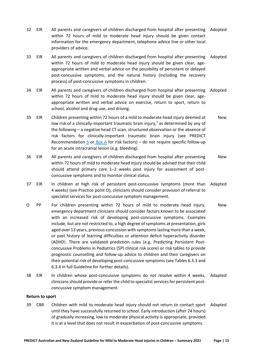- 32 EIR All parents and caregivers of children discharged from hospital after presenting within 72 hours of mild to moderate head injury should be given contact information for the emergency department, telephone advice line or other local providers of advice. Adopted
- 33 EIR All parents and caregivers of children discharged from hospital after presenting within 72 hours of mild to moderate head injury should be given clear, ageappropriate written and verbal advice on the possibility of persistent or delayed post-concussive symptoms, and the natural history (including the recovery process) of post-concussive symptoms in children. Adopted
- 34 EIR All parents and caregivers of children discharged from hospital after presenting within 72 hours of mild to moderate head injury should be given clear, ageappropriate written and verbal advice on exercise, return to sport, return to school, alcohol and drug use, and driving. Adopted
- 35 EIR Children presenting within 72 hours of a mild to moderate head injury deemed at low risk of a clinically-important traumatic brain injury,<sup>7</sup> as determined by any of the following – a negative head CT scan, structured observation or the absence of risk factors for clinically-important traumatic brain injury (see PREDICT Recommendation [5](#page-6-0) or Box A for risk factors) – do not require specific follow-up for an acute intracranial lesion (e.g. bleeding). New
- 36 EIR All parents and caregivers of children discharged from hospital after presenting within 72 hours of mild to moderate head injury should be advised that their child should attend primary care 1–2 weeks post injury for assessment of postconcussive symptoms and to monitor clinical status. New
- 37 EIR In children at high risk of persistent post-concussive symptoms (more than 4 weeks) (see Practice point O), clinicians should consider provision of referral to specialist services for post-concussive symptom management. Adapted
- O PP For children presenting within 72 hours of mild to moderate head injury, emergency department clinicians should consider factors known to be associated with an increased risk of developing post-concussive symptoms. Examples include, but are not restricted to, a high degree of symptoms at presentation, girls aged over 13 years, previous concussion with symptoms lasting more than a week, or past history of learning difficulties or attention deficit hyperactivity disorder (ADHD). There are validated prediction rules (e.g. Predicting Persistent Postconcussive Problems in Pediatrics (5P) clinical risk score) or risk tables to provide prognostic counselling and follow-up advice to children and their caregivers on their potential risk of developing post-concussive symptoms (see Tables 6.3.3 and 6.3.4 in full Guideline for further details). New
- 38 EIR In children whose post-concussive symptoms do not resolve within 4 weeks, clinicians should provide or refer the child to specialist services for persistent postconcussive symptom management. Adapted

#### **Return to sport**

39 CBR Children with mild to moderate head injury should not return to contact sport Adapteduntil they have successfully returned to school. Early introduction (after 24 hours) of gradually increasing, low to moderate physical activity is appropriate, provided it is at a level that does not result in exacerbation of post-concussive symptoms.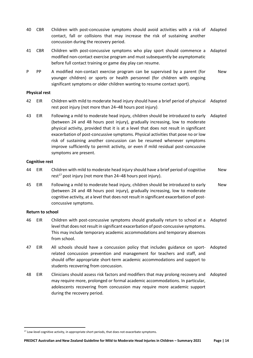- 40 CBR Children with post-concussive symptoms should avoid activities with a risk of contact, fall or collisions that may increase the risk of sustaining another concussion during the recovery period. Adapted
- 41 CBR Children with post-concussive symptoms who play sport should commence a modified non-contact exercise program and must subsequently be asymptomatic before full contact training or game day play can resume. Adapted
- P PP A modified non-contact exercise program can be supervised by a parent (for younger children) or sports or health personnel (for children with ongoing significant symptoms or older children wanting to resume contact sport). New

# **Physical rest**

- 42 EIR Children with mild to moderate head injury should have a brief period of physical rest post injury (not more than 24–48 hours post injury). Adapted
- 43 EIR Following a mild to moderate head injury, children should be introduced to early (between 24 and 48 hours post injury), gradually increasing, low to moderate physical activity, provided that it is at a level that does not result in significant exacerbation of post-concussive symptoms. Physical activities that pose no or low risk of sustaining another concussion can be resumed whenever symptoms improve sufficiently to permit activity, or even if mild residual post-concussive symptoms are present. Adapted

# **Cognitive rest**

- 44 EIR Children with mild to moderate head injury should have a brief period of cognitive  $rest<sup>17</sup>$  post injury (not more than 24-48 hours post injury). New
- 45 EIR Following a mild to moderate head injury, children should be introduced to early (between 24 and 48 hours post injury), gradually increasing, low to moderate cognitive activity, at a level that does not result in significant exacerbation of postconcussive symptoms. New

# **Return to school**

- 46 EIR Children with post-concussive symptoms should gradually return to school at a level that does not result in significant exacerbation of post-concussive symptoms. This may include temporary academic accommodations and temporary absences from school. Adapted
- 47 EIR All schools should have a concussion policy that includes guidance on sportrelated concussion prevention and management for teachers and staff, and should offer appropriate short-term academic accommodations and support to students recovering from concussion. Adopted
- 48 EIR Clinicians should assess risk factors and modifiers that may prolong recovery and may require more, prolonged or formal academic accommodations. In particular, adolescents recovering from concussion may require more academic support during the recovery period. Adopted

<sup>&</sup>lt;sup>17</sup> Low-level cognitive activity, in appropriate short periods, that does not exacerbate symptoms.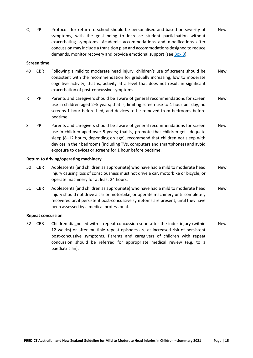Q PP Protocols for return to school should be personalised and based on severity of symptoms, with the goal being to increase student participation without exacerbating symptoms. Academic accommodations and modifications after concussion may include a transition plan and accommodations designed to reduce demands, monitor recovery and provide emotional support (see [Box B\)](#page-16-0). New

#### **Screen time**

- 49 CBR Following a mild to moderate head injury, children's use of screens should be consistent with the recommendation for gradually increasing, low to moderate cognitive activity; that is, activity at a level that does not result in significant exacerbation of post-concussive symptoms. New
- R PP Parents and caregivers should be aware of general recommendations for screen use in children aged 2–5 years; that is, limiting screen use to 1 hour per day, no screens 1 hour before bed, and devices to be removed from bedrooms before bedtime. New
- S PP Parents and caregivers should be aware of general recommendations for screen use in children aged over 5 years; that is, promote that children get adequate sleep (8–12 hours, depending on age), recommend that children not sleep with devices in their bedrooms (including TVs, computers and smartphones) and avoid exposure to devices or screens for 1 hour before bedtime. New

## **Return to driving/operating machinery**

- 50 CBR Adolescents (and children as appropriate) who have had a mild to moderate head injury causing loss of consciousness must not drive a car, motorbike or bicycle, or operate machinery for at least 24 hours. New
- 51 CBR Adolescents (and children as appropriate) who have had a mild to moderate head injury should not drive a car or motorbike, or operate machinery until completely recovered or, if persistent post-concussive symptoms are present, until they have been assessed by a medical professional. New

#### **Repeat concussion**

52 CBR Children diagnosed with a repeat concussion soon after the index injury (within 12 weeks) or after multiple repeat episodes are at increased risk of persistent post-concussive symptoms. Parents and caregivers of children with repeat concussion should be referred for appropriate medical review (e.g. to a paediatrician). New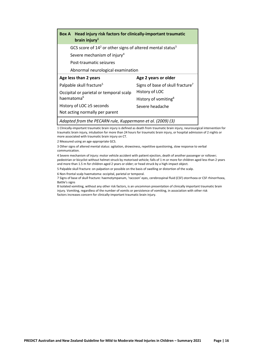<span id="page-15-0"></span>

| <b>Box A</b>                                                      | Head injury risk factors for clinically-important traumatic<br>brain injury $1$ |                                              |  |
|-------------------------------------------------------------------|---------------------------------------------------------------------------------|----------------------------------------------|--|
|                                                                   | GCS score of $142$ or other signs of altered mental status <sup>3</sup>         |                                              |  |
| Severe mechanism of injury <sup>4</sup>                           |                                                                                 |                                              |  |
| Post-traumatic seizures                                           |                                                                                 |                                              |  |
|                                                                   | Abnormal neurological examination                                               |                                              |  |
| Age less than 2 years                                             |                                                                                 | Age 2 years or older                         |  |
| Palpable skull fracture <sup>5</sup>                              |                                                                                 | Signs of base of skull fracture <sup>7</sup> |  |
| Occipital or parietal or temporal scalp<br>haematoma <sup>6</sup> |                                                                                 | History of LOC                               |  |
|                                                                   |                                                                                 | History of vomiting <sup>8</sup>             |  |
| History of LOC ≥5 seconds                                         |                                                                                 | Severe headache                              |  |
|                                                                   | Not acting normally per parent                                                  |                                              |  |
|                                                                   | Adapted from the PECARN rule, Kuppermann et al. (2009) (3)                      |                                              |  |

1 Clinically-important traumatic brain injury is defined as death from traumatic brain injury, neurosurgical intervention for traumatic brain injury, intubation for more than 24 hours for traumatic brain injury, or hospital admission of 2 nights or more associated with traumatic brain injury on CT.

2 Measured using an age-appropriate GCS.

3 Other signs of altered mental status: agitation, drowsiness, repetitive questioning, slow response to verbal communication.

4 Severe mechanism of injury: motor vehicle accident with patient ejection, death of another passenger or rollover; pedestrian or bicyclist without helmet struck by motorised vehicle; falls of 1 m or more for children aged less than 2 years and more than 1.5 m for children aged 2 years or older; or head struck by a high-impact object.

5 Palpable skull fracture: on palpation or possible on the basis of swelling or distortion of the scalp.

6 Non-frontal scalp haematoma: occipital, parietal or temporal.

7 Signs of base of skull fracture: haemotympanum, 'raccoon' eyes, cerebrospinal fluid (CSF) otorrhoea or CSF rhinorrhoea, Battle's signs

8 Isolated vomiting, without any other risk factors, is an uncommon presentation of clinically important traumatic brain injury. Vomiting, regardless of the number of vomits or persistence of vomiting, in association with other risk factors increases concern for clinically-important traumatic brain injury.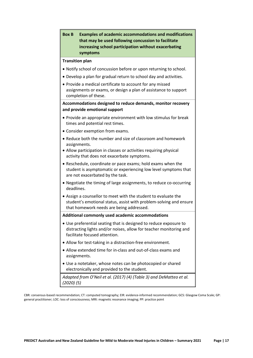<span id="page-16-0"></span>

CBR: consensus-based recommendation; CT: computed tomography; EIR: evidence-informed recommendation; GCS: Glasgow Coma Scale; GP: general practitioner; LOC: loss of consciousness; MRI: magnetic resonance imaging; PP: practice point